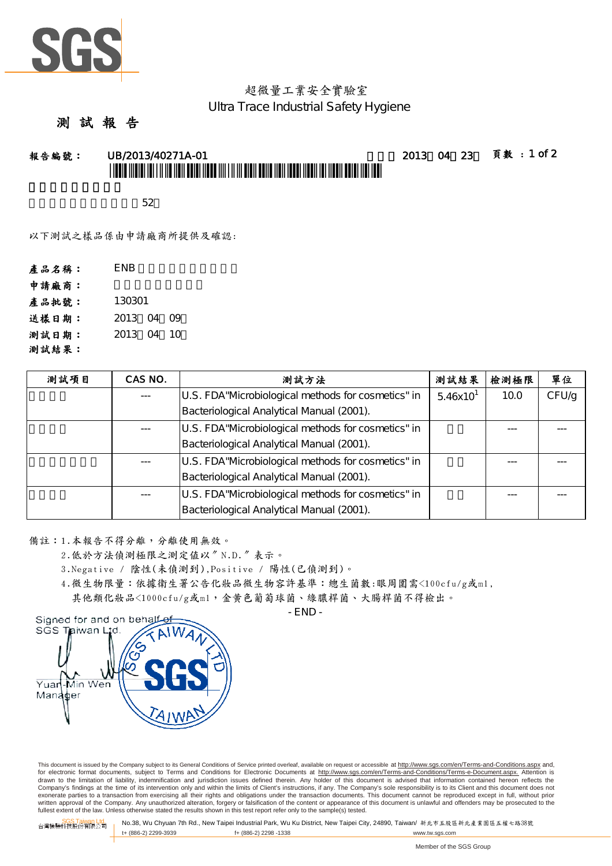

# 超微量工業安全實驗室 Ultra Trace Industrial Safety Hygiene

#### 測 試 報

報告編號: UB/2013/40271A-01 日期: 2013年04月23日 頁數 : 1 of 2 \*UBCA AND I AN TALAM ADA ADALAH DAN ANG ANG ANG ADALAH ADALAH ADALAH ADALAH A

 $\sim$  52

以下測試之樣品係由申請廠商所提供及確認:

| 產品名稱: | <b>ENB</b> |
|-------|------------|
| 申請廠商: |            |
| 産品批號: | 130301     |
| 送樣日期: | 2013 04 09 |
| 测試日期: | 2013 04 10 |
| 測試結果: |            |

| 测試項目 | CAS NO. | 測試方法                                                | 測試結果          | 檢測極限 | 單位    |
|------|---------|-----------------------------------------------------|---------------|------|-------|
|      |         | U.S. FDA "Microbiological methods for cosmetics" in | $5.46x10^{1}$ | 10.0 | CFU/G |
|      |         | Bacteriological Analytical Manual (2001).           |               |      |       |
|      |         | U.S. FDA "Microbiological methods for cosmetics" in |               |      |       |
|      |         | Bacteriological Analytical Manual (2001).           |               |      |       |
|      |         | U.S. FDA "Microbiological methods for cosmetics" in |               |      |       |
|      |         | Bacteriological Analytical Manual (2001).           |               |      |       |
|      |         | U.S. FDA "Microbiological methods for cosmetics" in |               |      |       |
|      |         | Bacteriological Analytical Manual (2001).           |               |      |       |

備註:1.本報告不得分離,分離使用無效。

2.低於方法偵測極限之測定值以〞N.D.〞表示。

3.Negative / 陰性(未偵測到),Positive / 陽性(已偵測到)。

4.微生物限量:依據衛生署公告化妝品微生物容許基準:總生菌數:眼周圍需<100cfu/g或ml,

其他類化妝品<1000cfu/g或ml,金黃色葡萄球菌、綠膿桿菌、大腸桿菌不得檢出。



- END -

This document is issued by the Company subject to its General Conditions of Service printed overleaf, available on request or accessible at http://www.sgs.com/en/Terms-and-Conditions.aspx and, for electronic format documents, subject to Terms and Conditions for Electronic Documents at <u>http://www.sgs.com/en/Terms-and-Conditions/Terms-e-Document.aspx.</u> Attention is<br>drawn to the limitation of liability, indemnific Company's findings at the time of its intervention only and within the limits of Client's instructions, if any. The Company's sole responsibility is to its Client and this document does not exonerate parties to a transaction from exercising all their rights and obligations under the transaction documents. This document cannot be reproduced except in full, without prior written approval of the Company. Any unauthorized alteration, forgery or falsification of the content or appearance of this document is unlawful and offenders may be prosecuted to the fullest extent of the law. Unless otherwise stated the results shown in this test report refer only to the sample(s) tested.

SGS Taiwan Ltd. 台灣檢驗科技股份有限公司 No.38, Wu Chyuan 7th Rd., New Taipei Industrial Park, Wu Ku District, New Taipei City, 24890, Taiwan/ 新北市五股區新北產業園區五權七路38號 f+ (886-2) 2298 -1338